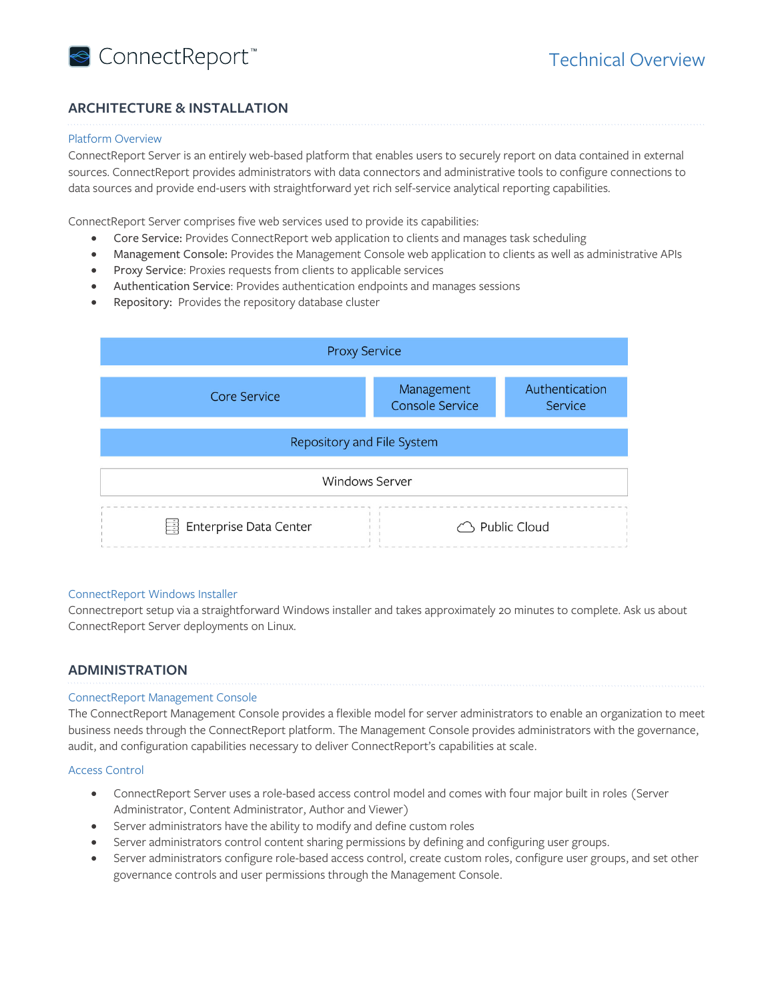

# **ARCHITECTURE & INSTALLATION**

### Platform Overview

ConnectReport Server is an entirely web-based platform that enables users to securely report on data contained in external sources. ConnectReport provides administrators with data connectors and administrative tools to configure connections to data sources and provide end-users with straightforward yet rich self-service analytical reporting capabilities.

ConnectReport Server comprises five web services used to provide its capabilities:

- Core Service: Provides ConnectReport web application to clients and manages task scheduling
- Management Console: Provides the Management Console web application to clients as well as administrative APIs
- Proxy Service: Proxies requests from clients to applicable services
- Authentication Service: Provides authentication endpoints and manages sessions
- Repository: Provides the repository database cluster



### ConnectReport Windows Installer

Connectreport setup via a straightforward Windows installer and takes approximately 20 minutes to complete. Ask us about ConnectReport Server deployments on Linux.

# **ADMINISTRATION**

#### ConnectReport Management Console

The ConnectReport Management Console provides a flexible model for server administrators to enable an organization to meet business needs through the ConnectReport platform. The Management Console provides administrators with the governance, audit, and configuration capabilities necessary to deliver ConnectReport's capabilities at scale.

### Access Control

- ConnectReport Server uses a role-based access control model and comes with four major built in roles (Server Administrator, Content Administrator, Author and Viewer)
- Server administrators have the ability to modify and define custom roles
- Server administrators control content sharing permissions by defining and configuring user groups.
- Server administrators configure role-based access control, create custom roles, configure user groups, and set other governance controls and user permissions through the Management Console.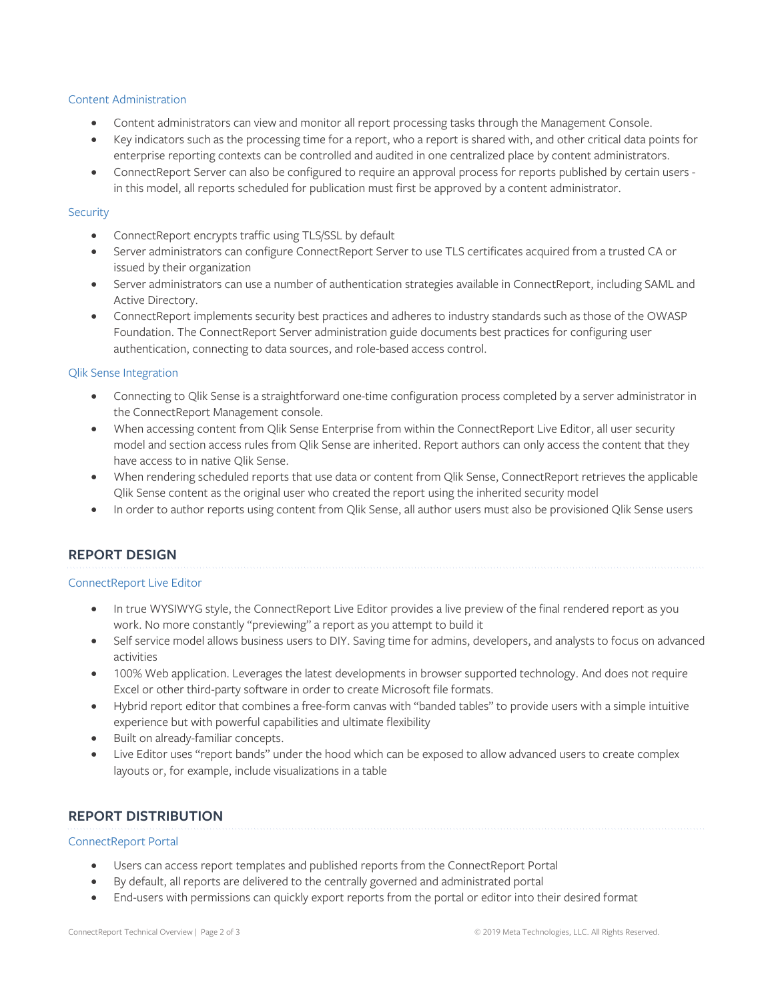#### Content Administration

- Content administrators can view and monitor all report processing tasks through the Management Console.
- Key indicators such as the processing time for a report, who a report is shared with, and other critical data points for enterprise reporting contexts can be controlled and audited in one centralized place by content administrators.
- ConnectReport Server can also be configured to require an approval process for reports published by certain users in this model, all reports scheduled for publication must first be approved by a content administrator.

#### **Security**

- ConnectReport encrypts traffic using TLS/SSL by default
- Server administrators can configure ConnectReport Server to use TLS certificates acquired from a trusted CA or issued by their organization
- Server administrators can use a number of authentication strategies available in ConnectReport, including SAML and Active Directory.
- ConnectReport implements security best practices and adheres to industry standards such as those of the OWASP Foundation. The ConnectReport Server administration guide documents best practices for configuring user authentication, connecting to data sources, and role-based access control.

#### Qlik Sense Integration

- Connecting to Qlik Sense is a straightforward one-time configuration process completed by a server administrator in the ConnectReport Management console.
- When accessing content from Qlik Sense Enterprise from within the ConnectReport Live Editor, all user security model and section access rules from Qlik Sense are inherited. Report authors can only access the content that they have access to in native Qlik Sense.
- When rendering scheduled reports that use data or content from Qlik Sense, ConnectReport retrieves the applicable Qlik Sense content as the original user who created the report using the inherited security model
- In order to author reports using content from Qlik Sense, all author users must also be provisioned Qlik Sense users

# **REPORT DESIGN**

#### ConnectReport Live Editor

- In true WYSIWYG style, the ConnectReport Live Editor provides a live preview of the final rendered report as you work. No more constantly "previewing" a report as you attempt to build it
- Self service model allows business users to DIY. Saving time for admins, developers, and analysts to focus on advanced activities
- 100% Web application. Leverages the latest developments in browser supported technology. And does not require Excel or other third-party software in order to create Microsoft file formats.
- Hybrid report editor that combines a free-form canvas with "banded tables" to provide users with a simple intuitive experience but with powerful capabilities and ultimate flexibility
- Built on already-familiar concepts.
- Live Editor uses "report bands" under the hood which can be exposed to allow advanced users to create complex layouts or, for example, include visualizations in a table

# **REPORT DISTRIBUTION**

#### ConnectReport Portal

- Users can access report templates and published reports from the ConnectReport Portal
- By default, all reports are delivered to the centrally governed and administrated portal
- End-users with permissions can quickly export reports from the portal or editor into their desired format